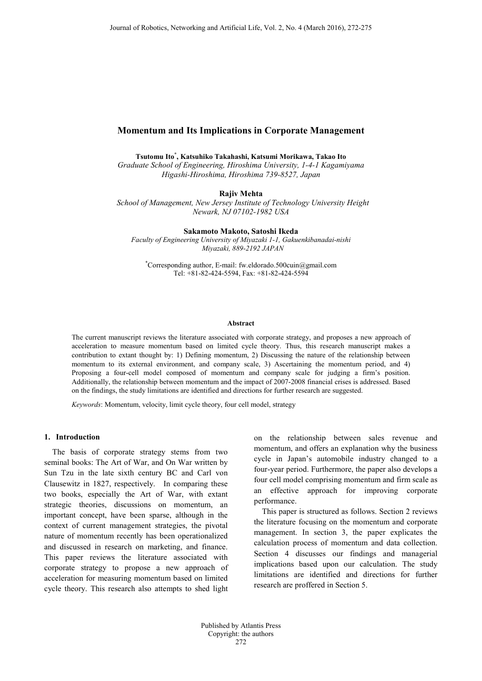# **Momentum and Its Implications in Corporate Management**

**Tsutomu Ito\* , Katsuhiko Takahashi, Katsumi Morikawa, Takao Ito**

*Graduate School of Engineering, Hiroshima University, 1-4-1 Kagamiyama Higashi-Hiroshima, Hiroshima 739-8527, Japan*

**Rajiv Mehta**

*School of Management, New Jersey Institute of Technology University Height Newark, NJ 07102-1982 USA*

**Sakamoto Makoto, Satoshi Ikeda**

*Faculty of Engineering University of Miyazaki 1-1, Gakuenkibanadai-nishi Miyazaki, 889-2192 JAPAN*

\* Corresponding author, E-mail: fw.eldorado.500cuin@gmail.com Tel: +81-82-424-5594, Fax: +81-82-424-5594

#### **Abstract**

The current manuscript reviews the literature associated with corporate strategy, and proposes a new approach of acceleration to measure momentum based on limited cycle theory. Thus, this research manuscript makes a contribution to extant thought by: 1) Defining momentum, 2) Discussing the nature of the relationship between momentum to its external environment, and company scale, 3) Ascertaining the momentum period, and 4) Proposing a four-cell model composed of momentum and company scale for judging a firm's position. Additionally, the relationship between momentum and the impact of 2007-2008 financial crises is addressed. Based on the findings, the study limitations are identified and directions for further research are suggested.

*Keywords*: Momentum, velocity, limit cycle theory, four cell model, strategy

## **1. Introduction**

The basis of corporate strategy stems from two seminal books: The Art of War, and On War written by Sun Tzu in the late sixth century BC and Carl von Clausewitz in 1827, respectively. In comparing these two books, especially the Art of War, with extant strategic theories, discussions on momentum, an important concept, have been sparse, although in the context of current management strategies, the pivotal nature of momentum recently has been operationalized and discussed in research on marketing, and finance. This paper reviews the literature associated with corporate strategy to propose a new approach of acceleration for measuring momentum based on limited cycle theory. This research also attempts to shed light

on the relationship between sales revenue and momentum, and offers an explanation why the business cycle in Japan's automobile industry changed to a four-year period. Furthermore, the paper also develops a four cell model comprising momentum and firm scale as an effective approach for improving corporate performance.

This paper is structured as follows. Section 2 reviews the literature focusing on the momentum and corporate management. In section 3, the paper explicates the calculation process of momentum and data collection. Section 4 discusses our findings and managerial implications based upon our calculation. The study limitations are identified and directions for further research are proffered in Section 5.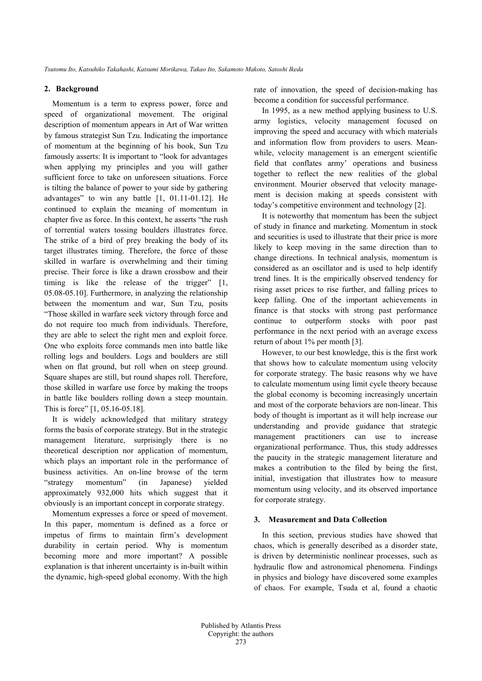### **2. Background**

Momentum is a term to express power, force and speed of organizational movement. The original description of momentum appears in Art of War written by famous strategist Sun Tzu. Indicating the importance of momentum at the beginning of his book, Sun Tzu famously asserts: It is important to "look for advantages when applying my principles and you will gather sufficient force to take on unforeseen situations. Force is tilting the balance of power to your side by gathering advantages" to win any battle [1, 01.11-01.12]. He continued to explain the meaning of momentum in chapter five as force. In this context, he asserts "the rush of torrential waters tossing boulders illustrates force. The strike of a bird of prey breaking the body of its target illustrates timing. Therefore, the force of those skilled in warfare is overwhelming and their timing precise. Their force is like a drawn crossbow and their timing is like the release of the trigger" [1, 05.08-05.10]. Furthermore, in analyzing the relationship between the momentum and war, Sun Tzu, posits "Those skilled in warfare seek victory through force and do not require too much from individuals. Therefore, they are able to select the right men and exploit force. One who exploits force commands men into battle like rolling logs and boulders. Logs and boulders are still when on flat ground, but roll when on steep ground. Square shapes are still, but round shapes roll. Therefore, those skilled in warfare use force by making the troops in battle like boulders rolling down a steep mountain. This is force" [1, 05.16-05.18].

It is widely acknowledged that military strategy forms the basis of corporate strategy. But in the strategic management literature, surprisingly there is no theoretical description nor application of momentum, which plays an important role in the performance of business activities. An on-line browse of the term "strategy momentum" (in Japanese) yielded approximately 932,000 hits which suggest that it obviously is an important concept in corporate strategy.

Momentum expresses a force or speed of movement. In this paper, momentum is defined as a force or impetus of firms to maintain firm's development durability in certain period. Why is momentum becoming more and more important? A possible explanation is that inherent uncertainty is in-built within the dynamic, high-speed global economy. With the high rate of innovation, the speed of decision-making has become a condition for successful performance.

In 1995, as a new method applying business to U.S. army logistics, velocity management focused on improving the speed and accuracy with which materials and information flow from providers to users. Meanwhile, velocity management is an emergent scientific field that conflates army' operations and business together to reflect the new realities of the global environment. Mourier observed that velocity management is decision making at speeds consistent with today's competitive environment and technology [2].

It is noteworthy that momentum has been the subject of study in finance and marketing. Momentum in stock and securities is used to illustrate that their price is more likely to keep moving in the same direction than to change directions. In technical analysis, momentum is considered as an oscillator and is used to help identify trend lines. It is the empirically observed tendency for rising asset prices to rise further, and falling prices to keep falling. One of the important achievements in finance is that stocks with strong past performance continue to outperform stocks with poor past performance in the next period with an average excess return of about 1% per month [3].

However, to our best knowledge, this is the first work that shows how to calculate momentum using velocity for corporate strategy. The basic reasons why we have to calculate momentum using limit cycle theory because the global economy is becoming increasingly uncertain and most of the corporate behaviors are non-linear. This body of thought is important as it will help increase our understanding and provide guidance that strategic management practitioners can use to increase organizational performance. Thus, this study addresses the paucity in the strategic management literature and makes a contribution to the filed by being the first, initial, investigation that illustrates how to measure momentum using velocity, and its observed importance for corporate strategy.

# **3. Measurement and Data Collection**

In this section, previous studies have showed that chaos, which is generally described as a disorder state, is driven by deterministic nonlinear processes, such as hydraulic flow and astronomical phenomena. Findings in physics and biology have discovered some examples of chaos. For example, Tsuda et al, found a chaotic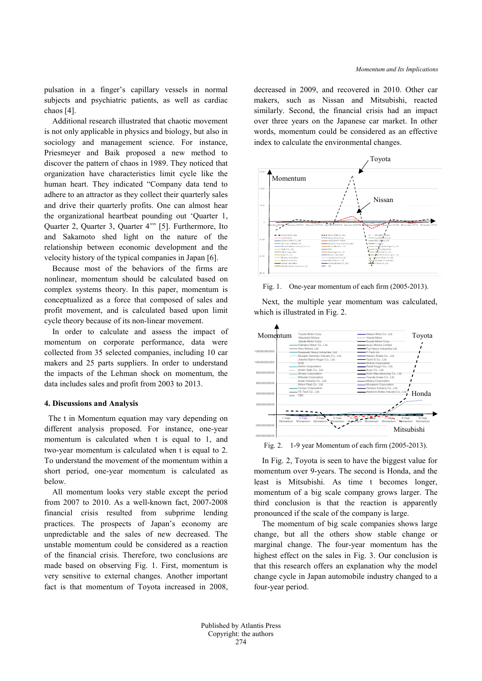pulsation in a finger's capillary vessels in normal subjects and psychiatric patients, as well as cardiac chaos [4].

Additional research illustrated that chaotic movement is not only applicable in physics and biology, but also in sociology and management science. For instance, Priesmeyer and Baik proposed a new method to discover the pattern of chaos in 1989. They noticed that organization have characteristics limit cycle like the human heart. They indicated "Company data tend to adhere to an attractor as they collect their quarterly sales and drive their quarterly profits. One can almost hear the organizational heartbeat pounding out 'Quarter 1, Quarter 2, Quarter 3, Quarter 4'" [5]. Furthermore, Ito and Sakamoto shed light on the nature of the relationship between economic development and the velocity history of the typical companies in Japan [6].

Because most of the behaviors of the firms are nonlinear, momentum should be calculated based on complex systems theory. In this paper, momentum is conceptualized as a force that composed of sales and profit movement, and is calculated based upon limit cycle theory because of its non-linear movement.

In order to calculate and assess the impact of momentum on corporate performance, data were collected from 35 selected companies, including 10 car makers and 25 parts suppliers. In order to understand the impacts of the Lehman shock on momentum, the data includes sales and profit from 2003 to 2013.

### **4. Discussions and Analysis**

The t in Momentum equation may vary depending on different analysis proposed. For instance, one-year momentum is calculated when t is equal to 1, and two-year momentum is calculated when t is equal to 2. To understand the movement of the momentum within a short period, one-year momentum is calculated as below.

All momentum looks very stable except the period from 2007 to 2010. As a well-known fact, 2007-2008 financial crisis resulted from subprime lending practices. The prospects of Japan's economy are unpredictable and the sales of new decreased. The unstable momentum could be considered as a reaction of the financial crisis. Therefore, two conclusions are made based on observing Fig. 1. First, momentum is very sensitive to external changes. Another important fact is that momentum of Toyota increased in 2008, decreased in 2009, and recovered in 2010. Other car makers, such as Nissan and Mitsubishi, reacted similarly. Second, the financial crisis had an impact over three years on the Japanese car market. In other words, momentum could be considered as an effective index to calculate the environmental changes.



Fig. 1. One-year momentum of each firm (2005-2013).

Next, the multiple year momentum was calculated, which is illustrated in Fig. 2.



Fig. 2. 1-9 year Momentum of each firm (2005-2013).

In Fig. 2, Toyota is seen to have the biggest value for momentum over 9-years. The second is Honda, and the least is Mitsubishi. As time t becomes longer, momentum of a big scale company grows larger. The third conclusion is that the reaction is apparently pronounced if the scale of the company is large.

The momentum of big scale companies shows large change, but all the others show stable change or marginal change. The four-year momentum has the highest effect on the sales in Fig. 3. Our conclusion is that this research offers an explanation why the model change cycle in Japan automobile industry changed to a four-year period.